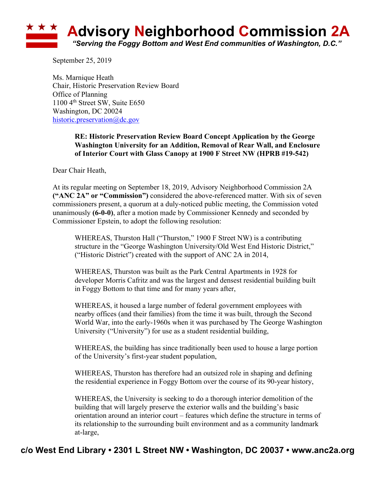

September 25, 2019

Ms. Marnique Heath Chair, Historic Preservation Review Board Office of Planning 1100 4<sup>th</sup> Street SW, Suite E650 Washington, DC 20024 historic.preservation@dc.gov

## **RE: Historic Preservation Review Board Concept Application by the George Washington University for an Addition, Removal of Rear Wall, and Enclosure of Interior Court with Glass Canopy at 1900 F Street NW (HPRB #19-542)**

Dear Chair Heath,

At its regular meeting on September 18, 2019, Advisory Neighborhood Commission 2A **("ANC 2A" or "Commission")** considered the above-referenced matter. With six of seven commissioners present, a quorum at a duly-noticed public meeting, the Commission voted unanimously **(6-0-0)**, after a motion made by Commissioner Kennedy and seconded by Commissioner Epstein, to adopt the following resolution:

WHEREAS, Thurston Hall ("Thurston," 1900 F Street NW) is a contributing structure in the "George Washington University/Old West End Historic District," ("Historic District") created with the support of ANC 2A in 2014,

WHEREAS, Thurston was built as the Park Central Apartments in 1928 for developer Morris Cafritz and was the largest and densest residential building built in Foggy Bottom to that time and for many years after,

WHEREAS, it housed a large number of federal government employees with nearby offices (and their families) from the time it was built, through the Second World War, into the early-1960s when it was purchased by The George Washington University ("University") for use as a student residential building,

WHEREAS, the building has since traditionally been used to house a large portion of the University's first-year student population,

WHEREAS, Thurston has therefore had an outsized role in shaping and defining the residential experience in Foggy Bottom over the course of its 90-year history,

WHEREAS, the University is seeking to do a thorough interior demolition of the building that will largely preserve the exterior walls and the building's basic orientation around an interior court – features which define the structure in terms of its relationship to the surrounding built environment and as a community landmark at-large,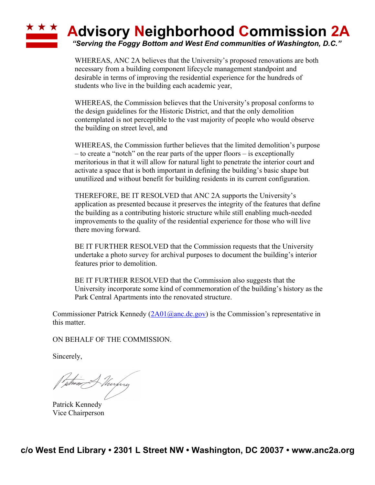## **Advisory Neighborhood Commission 2A** *"Serving the Foggy Bottom and West End communities of Washington, D.C."*

WHEREAS, ANC 2A believes that the University's proposed renovations are both necessary from a building component lifecycle management standpoint and desirable in terms of improving the residential experience for the hundreds of students who live in the building each academic year,

WHEREAS, the Commission believes that the University's proposal conforms to the design guidelines for the Historic District, and that the only demolition contemplated is not perceptible to the vast majority of people who would observe the building on street level, and

WHEREAS, the Commission further believes that the limited demolition's purpose – to create a "notch" on the rear parts of the upper floors – is exceptionally meritorious in that it will allow for natural light to penetrate the interior court and activate a space that is both important in defining the building's basic shape but unutilized and without benefit for building residents in its current configuration.

THEREFORE, BE IT RESOLVED that ANC 2A supports the University's application as presented because it preserves the integrity of the features that define the building as a contributing historic structure while still enabling much-needed improvements to the quality of the residential experience for those who will live there moving forward.

BE IT FURTHER RESOLVED that the Commission requests that the University undertake a photo survey for archival purposes to document the building's interior features prior to demolition.

BE IT FURTHER RESOLVED that the Commission also suggests that the University incorporate some kind of commemoration of the building's history as the Park Central Apartments into the renovated structure.

Commissioner Patrick Kennedy (2A01@anc.dc.gov) is the Commission's representative in this matter.

ON BEHALF OF THE COMMISSION.

Sincerely,

when A Thurphy

Patrick Kennedy Vice Chairperson